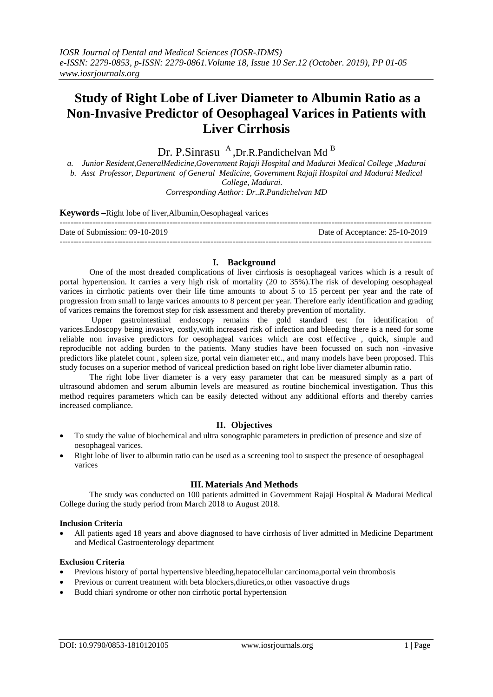# **Study of Right Lobe of Liver Diameter to Albumin Ratio as a Non-Invasive Predictor of Oesophageal Varices in Patients with Liver Cirrhosis**

Dr. P.Sinrasu <sup>A</sup>, Dr.R.Pandichelvan Md<sup>B</sup>

*a. Junior Resident,GeneralMedicine,Government Rajaji Hospital and Madurai Medical College ,Madurai b. Asst Professor, Department of General Medicine, Government Rajaji Hospital and Madurai Medical College, Madurai. Corresponding Author: Dr..R.Pandichelvan MD*

# **Keywords –**Right lobe of liver,Albumin,Oesophageal varices

| Date of Submission: 09-10-2019 | Date of Acceptance: 25-10-2019 |
|--------------------------------|--------------------------------|
|                                |                                |

# **I. Background**

One of the most dreaded complications of liver cirrhosis is oesophageal varices which is a result of portal hypertension. It carries a very high risk of mortality (20 to 35%).The risk of developing oesophageal varices in cirrhotic patients over their life time amounts to about 5 to 15 percent per year and the rate of progression from small to large varices amounts to 8 percent per year. Therefore early identification and grading of varices remains the foremost step for risk assessment and thereby prevention of mortality.

Upper gastrointestinal endoscopy remains the gold standard test for identification of varices.Endoscopy being invasive, costly,with increased risk of infection and bleeding there is a need for some reliable non invasive predictors for oesophageal varices which are cost effective , quick, simple and reproducible not adding burden to the patients. Many studies have been focussed on such non -invasive predictors like platelet count , spleen size, portal vein diameter etc., and many models have been proposed. This study focuses on a superior method of variceal prediction based on right lobe liver diameter albumin ratio.

The right lobe liver diameter is a very easy parameter that can be measured simply as a part of ultrasound abdomen and serum albumin levels are measured as routine biochemical investigation. Thus this method requires parameters which can be easily detected without any additional efforts and thereby carries increased compliance.

# **II. Objectives**

- To study the value of biochemical and ultra sonographic parameters in prediction of presence and size of oesophageal varices.
- Right lobe of liver to albumin ratio can be used as a screening tool to suspect the presence of oesophageal varices

#### **III. Materials And Methods**

The study was conducted on 100 patients admitted in Government Rajaji Hospital & Madurai Medical College during the study period from March 2018 to August 2018.

#### **Inclusion Criteria**

 All patients aged 18 years and above diagnosed to have cirrhosis of liver admitted in Medicine Department and Medical Gastroenterology department

#### **Exclusion Criteria**

- Previous history of portal hypertensive bleeding,hepatocellular carcinoma,portal vein thrombosis
- Previous or current treatment with beta blockers,diuretics,or other vasoactive drugs
- Budd chiari syndrome or other non cirrhotic portal hypertension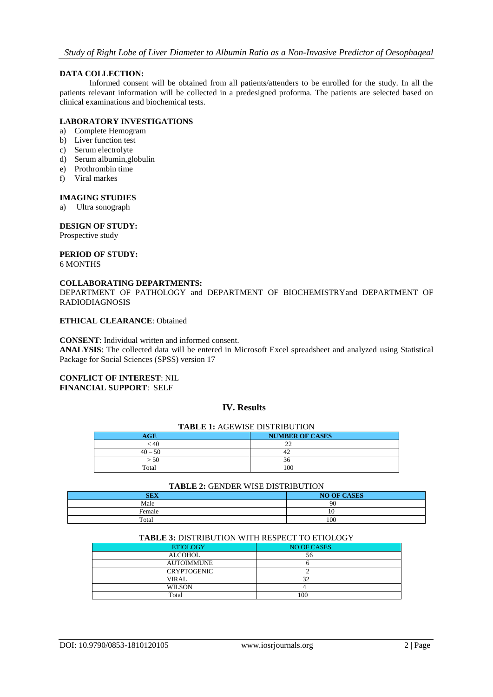# **DATA COLLECTION:**

Informed consent will be obtained from all patients/attenders to be enrolled for the study. In all the patients relevant information will be collected in a predesigned proforma. The patients are selected based on clinical examinations and biochemical tests.

# **LABORATORY INVESTIGATIONS**

- a) Complete Hemogram
- b) Liver function test
- c) Serum electrolyte
- d) Serum albumin,globulin
- e) Prothrombin time
- f) Viral markes

#### **IMAGING STUDIES**

a) Ultra sonograph

#### **DESIGN OF STUDY:**

Prospective study

#### **PERIOD OF STUDY:** 6 MONTHS

# **COLLABORATING DEPARTMENTS:**

DEPARTMENT OF PATHOLOGY and DEPARTMENT OF BIOCHEMISTRYand DEPARTMENT OF RADIODIAGNOSIS

# **ETHICAL CLEARANCE**: Obtained

#### **CONSENT**: Individual written and informed consent.

**ANALYSIS**: The collected data will be entered in Microsoft Excel spreadsheet and analyzed using Statistical Package for Social Sciences (SPSS) version 17

#### **CONFLICT OF INTEREST**: NIL **FINANCIAL SUPPORT**: SELF

# **IV. Results**

| <b>TABLE 1: AGEWISE DISTRIBUTION</b> |  |  |
|--------------------------------------|--|--|
| <b>NUMBER OF CASES</b>               |  |  |
|                                      |  |  |
|                                      |  |  |
| 36                                   |  |  |
| 100                                  |  |  |
|                                      |  |  |

#### **TABLE 2:** GENDER WISE DISTRIBUTION

| ___<br>_______<br>__<br>____<br>_____ |                    |  |
|---------------------------------------|--------------------|--|
| <b>SEX</b>                            | <b>NO OF CASES</b> |  |
| Male                                  | 90                 |  |
| Female                                | $\sim$<br>10       |  |
| Total                                 | 100                |  |

#### **TABLE 3:** DISTRIBUTION WITH RESPECT TO ETIOLOGY

| <b>ETIOLOGY</b>    | NO.OF CASES |
|--------------------|-------------|
| <b>ALCOHOL</b>     | 56          |
| <b>AUTOIMMUNE</b>  |             |
| <b>CRYPTOGENIC</b> |             |
| VIRAL              | 32          |
| <b>WILSON</b>      |             |
| Total              | 100         |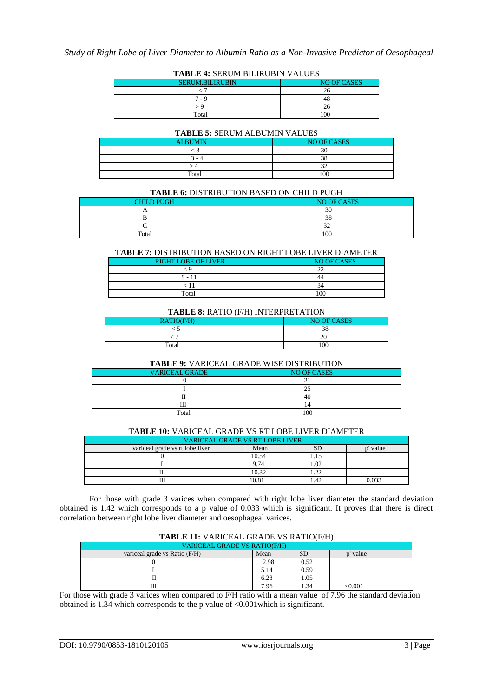| 1.1000 1.001\0.11 DIDI\0.01 1.1000 |                    |  |
|------------------------------------|--------------------|--|
| <b>SERUM.BILIRUBIN</b>             | <b>NO OF CASES</b> |  |
|                                    |                    |  |
| 7 - Գ                              | 48                 |  |
|                                    |                    |  |
| Total                              | 100                |  |

#### **TABLE 5:** SERUM ALBUMIN VALUES

| <b>ALBUMIN</b> | NO OF CASES     |  |
|----------------|-----------------|--|
|                |                 |  |
| - 4            |                 |  |
|                |                 |  |
| Total          | 10 <sup>c</sup> |  |

#### **TABLE 6:** DISTRIBUTION BASED ON CHILD PUGH

| <b>CHILD PUGH</b> | <b>NO OF CASES</b> |  |  |
|-------------------|--------------------|--|--|
|                   | $\Delta$<br>э      |  |  |
|                   | $\sim$<br>J)       |  |  |
|                   |                    |  |  |
| Total             | 100                |  |  |

# **TABLE 7:** DISTRIBUTION BASED ON RIGHT LOBE LIVER DIAMETER

| <b>RIGHT LOBE OF LIVER</b> | <b>NO OF CASES</b> |  |
|----------------------------|--------------------|--|
|                            |                    |  |
| $9 - 11$                   |                    |  |
|                            |                    |  |
| Total                      | $\Omega$           |  |

#### **TABLE 8:** RATIO (F/H) INTERPRETATION

| <b>NO OF CASES</b><br>RATIO(F/H) |     |  |
|----------------------------------|-----|--|
|                                  | 38  |  |
|                                  |     |  |
| Total                            | 100 |  |

#### **TABLE 9:** VARICEAL GRADE WISE DISTRIBUTION

| <b>VARICEAL GRADE</b> | <b>NO OF CASES</b> |
|-----------------------|--------------------|
|                       |                    |
|                       |                    |
|                       | 41                 |
| <b>TTT</b><br>ш       |                    |
| Total                 | 100                |
|                       |                    |

### **TABLE 10:** VARICEAL GRADE VS RT LOBE LIVER DIAMETER

| <b>VARICEAL GRADE VS RT LOBE LIVER</b> |       |    |          |
|----------------------------------------|-------|----|----------|
| variceal grade vs rt lobe liver        | Mean  | SD | p' value |
|                                        | 10.54 |    |          |
|                                        | 9.74  |    |          |
|                                        | 10.32 |    |          |
|                                        | 10.81 |    | 0.033    |

For those with grade 3 varices when compared with right lobe liver diameter the standard deviation obtained is 1.42 which corresponds to a p value of 0.033 which is significant. It proves that there is direct correlation between right lobe liver diameter and oesophageal varices.

# **TABLE 11:** VARICEAL GRADE VS RATIO(F/H)

| <b>VARICEAL GRADE VS RATIO(F/H)</b> |      |           |                                       |  |  |
|-------------------------------------|------|-----------|---------------------------------------|--|--|
| variceal grade vs Ratio (F/H)       | Mean | <b>SD</b> | value                                 |  |  |
|                                     | 2.98 | 0.52      |                                       |  |  |
|                                     | 5.14 | 0.59      |                                       |  |  |
|                                     | 6.28 | 1.05      |                                       |  |  |
|                                     | 7.96 | 1.34      | $< \hspace{-0.00000.0000000000000000$ |  |  |

For those with grade 3 varices when compared to F/H ratio with a mean value of 7.96 the standard deviation obtained is 1.34 which corresponds to the p value of <0.001which is significant.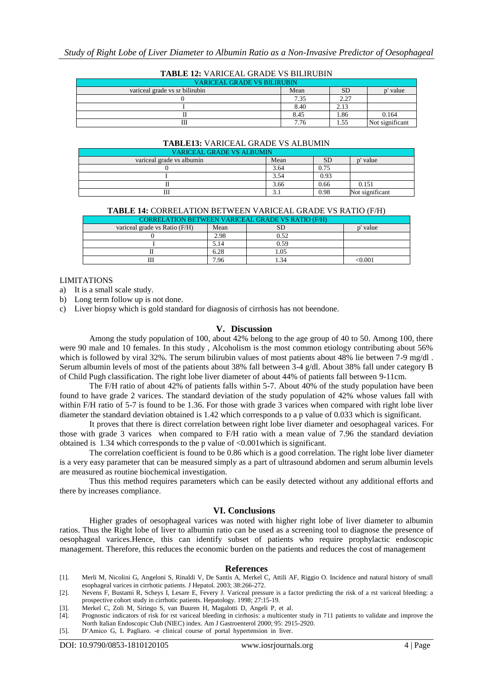| TABLE 12: VARICEAL GRADE VS BILIRUBIN |      |      |                 |  |
|---------------------------------------|------|------|-----------------|--|
| <b>VARICEAL GRADE VS BILIRUBIN</b>    |      |      |                 |  |
| variceal grade vs sr bilirubin        | Mean |      | value           |  |
|                                       | 7.35 | 2.27 |                 |  |
|                                       | 8.40 | 2.13 |                 |  |
|                                       | 8.45 | 1.86 | 0.164           |  |
|                                       | 7.76 | 1.55 | Not significant |  |

#### **TABLE 12:** VARICEAL GRADE VS BILIRUBIN

# **TABLE13:** VARICEAL GRADE VS ALBUMIN

| VARICEAL GRADE VS ALBUMIN |      |           |                 |  |
|---------------------------|------|-----------|-----------------|--|
| variceal grade vs albumin | Mean | <b>SD</b> | ' value         |  |
|                           | 3.64 | 0.75      |                 |  |
|                           | 3.54 | 0.93      |                 |  |
|                           | 3.66 | 0.66      | 0.151           |  |
| Ш                         |      | 0.98      | Not significant |  |

#### **TABLE 14:** CORRELATION BETWEEN VARICEAL GRADE VS RATIO (F/H)

| <b>CORRELATION BETWEEN VARICEAL GRADE VS RATIO (F/H)</b> |      |      |          |  |  |
|----------------------------------------------------------|------|------|----------|--|--|
| variceal grade vs Ratio (F/H)                            | Mean |      | p' value |  |  |
|                                                          | 2.98 | 0.52 |          |  |  |
|                                                          | 5.14 | 0.59 |          |  |  |
|                                                          | 6.28 |      |          |  |  |
|                                                          | 7.96 |      | ≤0.001   |  |  |

#### LIMITATIONS

a) It is a small scale study.

b) Long term follow up is not done.

c) Liver biopsy which is gold standard for diagnosis of cirrhosis has not beendone.

## **V. Discussion**

Among the study population of 100, about 42% belong to the age group of 40 to 50. Among 100, there were 90 male and 10 females. In this study , Alcoholism is the most common etiology contributing about 56% which is followed by viral 32%. The serum bilirubin values of most patients about 48% lie between 7-9 mg/dl. Serum albumin levels of most of the patients about 38% fall between 3-4 g/dl. About 38% fall under category B of Child Pugh classification. The right lobe liver diameter of about 44% of patients fall between 9-11cm.

The F/H ratio of about 42% of patients falls within 5-7. About 40% of the study population have been found to have grade 2 varices. The standard deviation of the study population of 42% whose values fall with within F/H ratio of 5-7 is found to be 1.36. For those with grade 3 varices when compared with right lobe liver diameter the standard deviation obtained is 1.42 which corresponds to a p value of 0.033 which is significant.

It proves that there is direct correlation between right lobe liver diameter and oesophageal varices. For those with grade 3 varices when compared to F/H ratio with a mean value of 7.96 the standard deviation obtained is 1.34 which corresponds to the p value of <0.001which is significant.

The correlation coefficient is found to be 0.86 which is a good correlation. The right lobe liver diameter is a very easy parameter that can be measured simply as a part of ultrasound abdomen and serum albumin levels are measured as routine biochemical investigation.

Thus this method requires parameters which can be easily detected without any additional efforts and there by increases compliance.

#### **VI. Conclusions**

Higher grades of oesophageal varices was noted with higher right lobe of liver diameter to albumin ratios. Thus the Right lobe of liver to albumin ratio can be used as a screening tool to diagnose the presence of oesophageal varices.Hence, this can identify subset of patients who require prophylactic endoscopic management. Therefore, this reduces the economic burden on the patients and reduces the cost of management

#### **References**

- [1]. Merli M, Nicolini G, Angeloni S, Rinaldi V, De Santis A, Merkel C, Attili AF, Riggio O. Incidence and natural history of small esophageal varices in cirrhotic patients. J Hepatol. 2003; 38:266-272.
- [2]. Nevens F, Bustami R, Scheys I, Lesare E, Fevery J. Variceal pressure is a factor predicting the risk of a rst variceal bleeding: a prospective cohort study in cirrhotic patients. Hepatology. 1998; 27:15-19.
- [3]. Merkel C, Zoli M, Siringo S, van Buuren H, Magalotti D, Angeli P, et al.
- [4]. Prognostic indicators of risk for rst variceal bleeding in cirrhosis: a multicenter study in 711 patients to validate and improve the North Italian Endoscopic Club (NIEC) index. Am J Gastroenterol 2000; 95: 2915-2920.
- [5]. D"Amico G, L Pagliaro. -e clinical course of portal hypertension in liver.